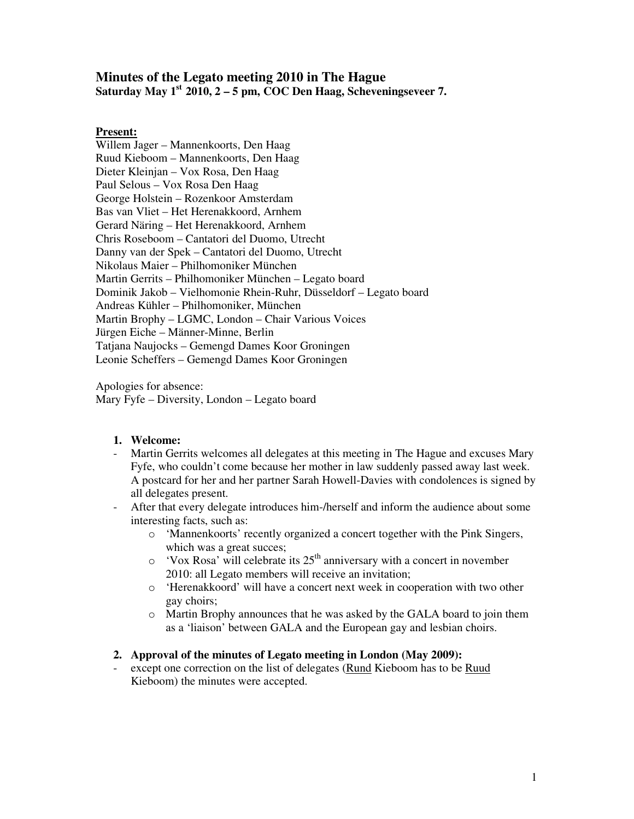# **Minutes of the Legato meeting 2010 in The Hague Saturday May 1st 2010, 2 – 5 pm, COC Den Haag, Scheveningseveer 7.**

### **Present:**

Willem Jager – Mannenkoorts, Den Haag Ruud Kieboom – Mannenkoorts, Den Haag Dieter Kleinjan – Vox Rosa, Den Haag Paul Selous – Vox Rosa Den Haag George Holstein – Rozenkoor Amsterdam Bas van Vliet – Het Herenakkoord, Arnhem Gerard Näring – Het Herenakkoord, Arnhem Chris Roseboom – Cantatori del Duomo, Utrecht Danny van der Spek – Cantatori del Duomo, Utrecht Nikolaus Maier – Philhomoniker München Martin Gerrits – Philhomoniker München – Legato board Dominik Jakob – Vielhomonie Rhein-Ruhr, Düsseldorf – Legato board Andreas Kühler – Philhomoniker, München Martin Brophy – LGMC, London – Chair Various Voices Jürgen Eiche – Männer-Minne, Berlin Tatjana Naujocks – Gemengd Dames Koor Groningen Leonie Scheffers – Gemengd Dames Koor Groningen

Apologies for absence: Mary Fyfe – Diversity, London – Legato board

### **1. Welcome:**

- Martin Gerrits welcomes all delegates at this meeting in The Hague and excuses Mary Fyfe, who couldn't come because her mother in law suddenly passed away last week. A postcard for her and her partner Sarah Howell-Davies with condolences is signed by all delegates present.
- After that every delegate introduces him-/herself and inform the audience about some interesting facts, such as:
	- o 'Mannenkoorts' recently organized a concert together with the Pink Singers, which was a great succes;
	- $\circ$  'Vox Rosa' will celebrate its 25<sup>th</sup> anniversary with a concert in november 2010: all Legato members will receive an invitation;
	- o 'Herenakkoord' will have a concert next week in cooperation with two other gay choirs;
	- o Martin Brophy announces that he was asked by the GALA board to join them as a 'liaison' between GALA and the European gay and lesbian choirs.

## **2. Approval of the minutes of Legato meeting in London (May 2009):**

except one correction on the list of delegates (Rund Kieboom has to be Ruud Kieboom) the minutes were accepted.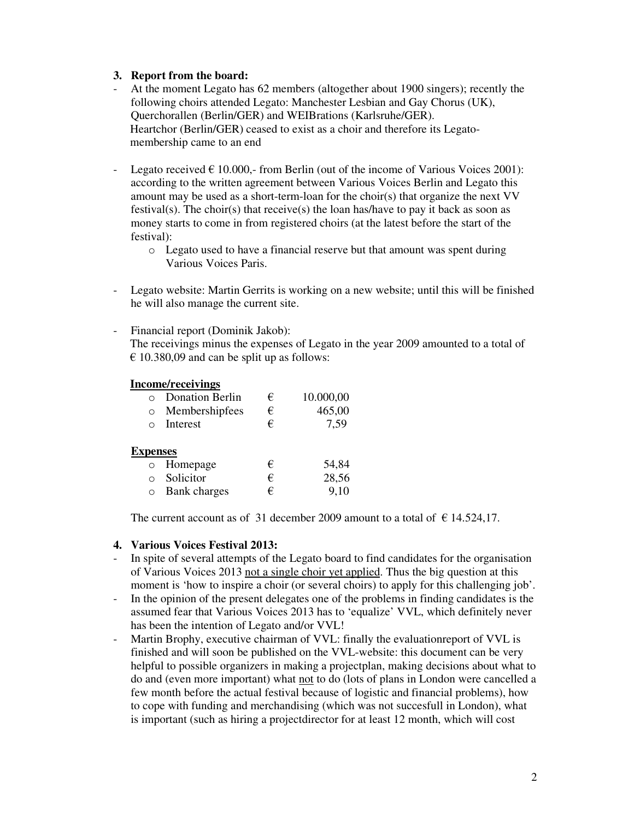### **3. Report from the board:**

- At the moment Legato has 62 members (altogether about 1900 singers); recently the following choirs attended Legato: Manchester Lesbian and Gay Chorus (UK), Querchorallen (Berlin/GER) and WEIBrations (Karlsruhe/GER). Heartchor (Berlin/GER) ceased to exist as a choir and therefore its Legatomembership came to an end
- Legato received  $\epsilon$  10.000,-from Berlin (out of the income of Various Voices 2001): according to the written agreement between Various Voices Berlin and Legato this amount may be used as a short-term-loan for the choir(s) that organize the next VV festival(s). The choir(s) that receive(s) the loan has/have to pay it back as soon as money starts to come in from registered choirs (at the latest before the start of the festival):
	- o Legato used to have a financial reserve but that amount was spent during Various Voices Paris.
- Legato website: Martin Gerrits is working on a new website; until this will be finished he will also manage the current site.
- Financial report (Dominik Jakob): The receivings minus the expenses of Legato in the year 2009 amounted to a total of  $\epsilon$  10.380,09 and can be split up as follows:

### **Income/receivings**

|                 | <b>Donation Berlin</b> | € | 10.000,00 |
|-----------------|------------------------|---|-----------|
| $\circ$         | Membershipfees         | € | 465,00    |
|                 | Interest               | € | 7.59      |
| <b>Expenses</b> |                        |   |           |
|                 | Homepage               | € | 54,84     |
|                 | Solicitor              | € | 28,56     |
|                 | Bank charges           | € | 9,10      |

The current account as of 31 december 2009 amount to a total of  $\epsilon$  14.524,17.

### **4. Various Voices Festival 2013:**

- In spite of several attempts of the Legato board to find candidates for the organisation of Various Voices 2013 not a single choir yet applied. Thus the big question at this moment is 'how to inspire a choir (or several choirs) to apply for this challenging job'.
- In the opinion of the present delegates one of the problems in finding candidates is the assumed fear that Various Voices 2013 has to 'equalize' VVL, which definitely never has been the intention of Legato and/or VVL!
- Martin Brophy, executive chairman of VVL: finally the evaluationreport of VVL is finished and will soon be published on the VVL-website: this document can be very helpful to possible organizers in making a projectplan, making decisions about what to do and (even more important) what not to do (lots of plans in London were cancelled a few month before the actual festival because of logistic and financial problems), how to cope with funding and merchandising (which was not succesfull in London), what is important (such as hiring a projectdirector for at least 12 month, which will cost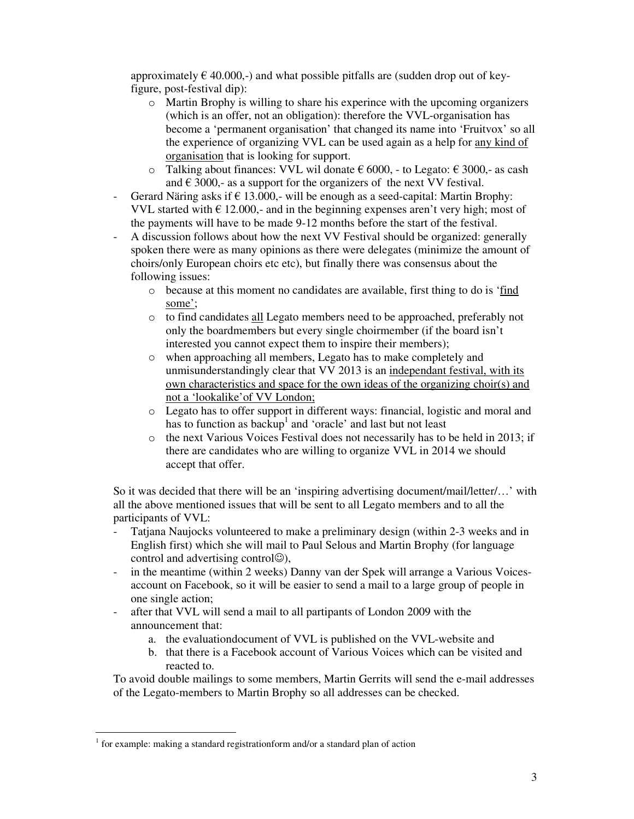approximately  $\epsilon$  40.000,-) and what possible pitfalls are (sudden drop out of keyfigure, post-festival dip):

- o Martin Brophy is willing to share his experince with the upcoming organizers (which is an offer, not an obligation): therefore the VVL-organisation has become a 'permanent organisation' that changed its name into 'Fruitvox' so all the experience of organizing VVL can be used again as a help for any kind of organisation that is looking for support.
- o Talking about finances: VVL wil donate  $\epsilon$  6000, to Legato:  $\epsilon$  3000, as cash and  $\epsilon$  3000,- as a support for the organizers of the next VV festival.
- Gerard Näring asks if  $\epsilon$  13.000,- will be enough as a seed-capital: Martin Brophy: VVL started with  $\epsilon$  12.000,- and in the beginning expenses aren't very high; most of the payments will have to be made 9-12 months before the start of the festival.
- A discussion follows about how the next VV Festival should be organized: generally spoken there were as many opinions as there were delegates (minimize the amount of choirs/only European choirs etc etc), but finally there was consensus about the following issues:
	- o because at this moment no candidates are available, first thing to do is 'find some';
	- o to find candidates all Legato members need to be approached, preferably not only the boardmembers but every single choirmember (if the board isn't interested you cannot expect them to inspire their members);
	- o when approaching all members, Legato has to make completely and unmisunderstandingly clear that VV 2013 is an independant festival, with its own characteristics and space for the own ideas of the organizing choir(s) and not a 'lookalike'of VV London;
	- o Legato has to offer support in different ways: financial, logistic and moral and has to function as backup<sup>1</sup> and 'oracle' and last but not least
	- o the next Various Voices Festival does not necessarily has to be held in 2013; if there are candidates who are willing to organize VVL in 2014 we should accept that offer.

So it was decided that there will be an 'inspiring advertising document/mail/letter/…' with all the above mentioned issues that will be sent to all Legato members and to all the participants of VVL:

- Tatjana Naujocks volunteered to make a preliminary design (within 2-3 weeks and in English first) which she will mail to Paul Selous and Martin Brophy (for language control and advertising control☺),
- in the meantime (within 2 weeks) Danny van der Spek will arrange a Various Voicesaccount on Facebook, so it will be easier to send a mail to a large group of people in one single action;
- after that VVL will send a mail to all partipants of London 2009 with the announcement that:
	- a. the evaluationdocument of VVL is published on the VVL-website and
	- b. that there is a Facebook account of Various Voices which can be visited and reacted to.

To avoid double mailings to some members, Martin Gerrits will send the e-mail addresses of the Legato-members to Martin Brophy so all addresses can be checked.

-

<sup>&</sup>lt;sup>1</sup> for example: making a standard registrationform and/or a standard plan of action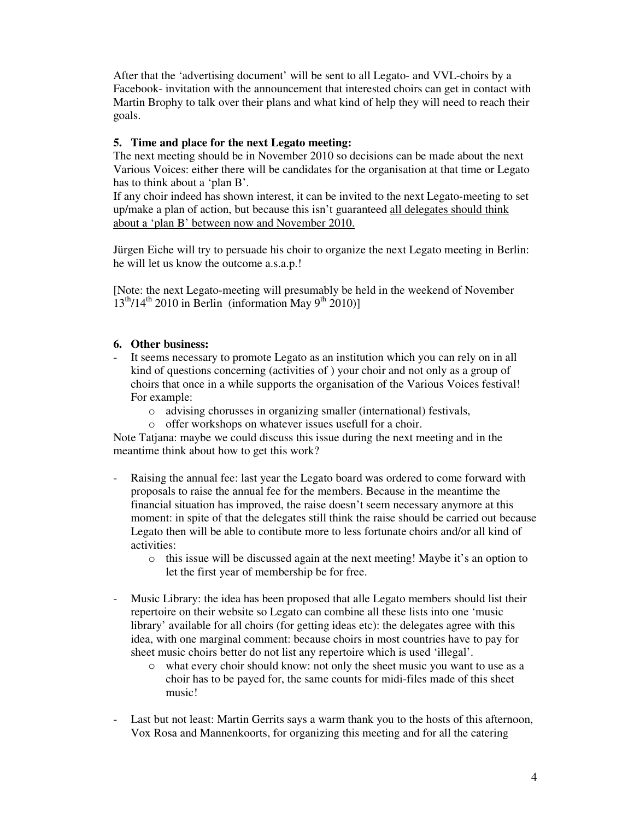After that the 'advertising document' will be sent to all Legato- and VVL-choirs by a Facebook- invitation with the announcement that interested choirs can get in contact with Martin Brophy to talk over their plans and what kind of help they will need to reach their goals.

## **5. Time and place for the next Legato meeting:**

The next meeting should be in November 2010 so decisions can be made about the next Various Voices: either there will be candidates for the organisation at that time or Legato has to think about a 'plan B'.

If any choir indeed has shown interest, it can be invited to the next Legato-meeting to set up/make a plan of action, but because this isn't guaranteed all delegates should think about a 'plan B' between now and November 2010.

Jürgen Eiche will try to persuade his choir to organize the next Legato meeting in Berlin: he will let us know the outcome a.s.a.p.!

[Note: the next Legato-meeting will presumably be held in the weekend of November  $13<sup>th</sup>/14<sup>th</sup>$  2010 in Berlin (information May 9<sup>th</sup> 2010)]

## **6. Other business:**

- It seems necessary to promote Legato as an institution which you can rely on in all kind of questions concerning (activities of ) your choir and not only as a group of choirs that once in a while supports the organisation of the Various Voices festival! For example:
	- o advising chorusses in organizing smaller (international) festivals,
	- o offer workshops on whatever issues usefull for a choir.

Note Tatjana: maybe we could discuss this issue during the next meeting and in the meantime think about how to get this work?

- Raising the annual fee: last year the Legato board was ordered to come forward with proposals to raise the annual fee for the members. Because in the meantime the financial situation has improved, the raise doesn't seem necessary anymore at this moment: in spite of that the delegates still think the raise should be carried out because Legato then will be able to contibute more to less fortunate choirs and/or all kind of activities:
	- o this issue will be discussed again at the next meeting! Maybe it's an option to let the first year of membership be for free.
- Music Library: the idea has been proposed that alle Legato members should list their repertoire on their website so Legato can combine all these lists into one 'music library' available for all choirs (for getting ideas etc): the delegates agree with this idea, with one marginal comment: because choirs in most countries have to pay for sheet music choirs better do not list any repertoire which is used 'illegal'.
	- o what every choir should know: not only the sheet music you want to use as a choir has to be payed for, the same counts for midi-files made of this sheet music!
- Last but not least: Martin Gerrits says a warm thank you to the hosts of this afternoon, Vox Rosa and Mannenkoorts, for organizing this meeting and for all the catering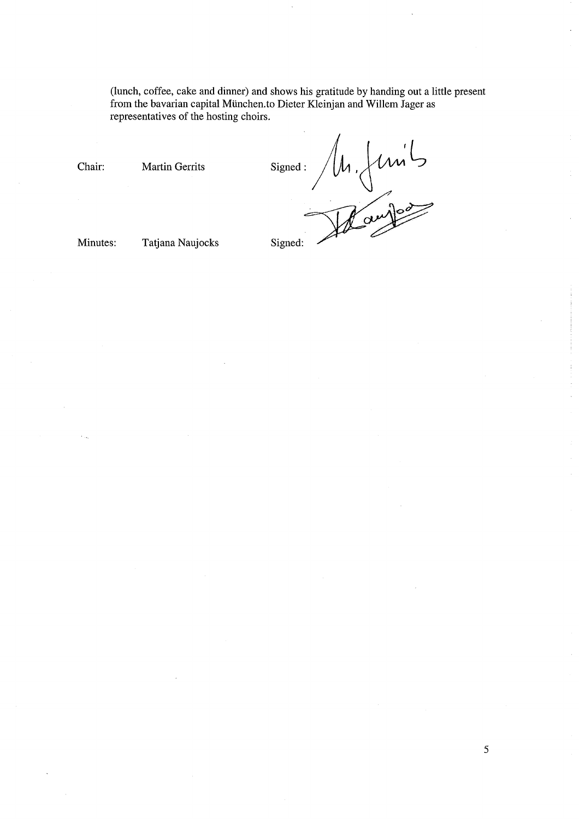(lunch, coffee, cake and dinner) and shows his gratitude by handing out a little present from the bavarian capital München.to Dieter Kleinjan and Willem Jager as representatives of the hosting choirs.

Chair:

**Martin Gerrits** 

M. Jun's Signed:

Minutes:

Tatjana Naujocks

Signed: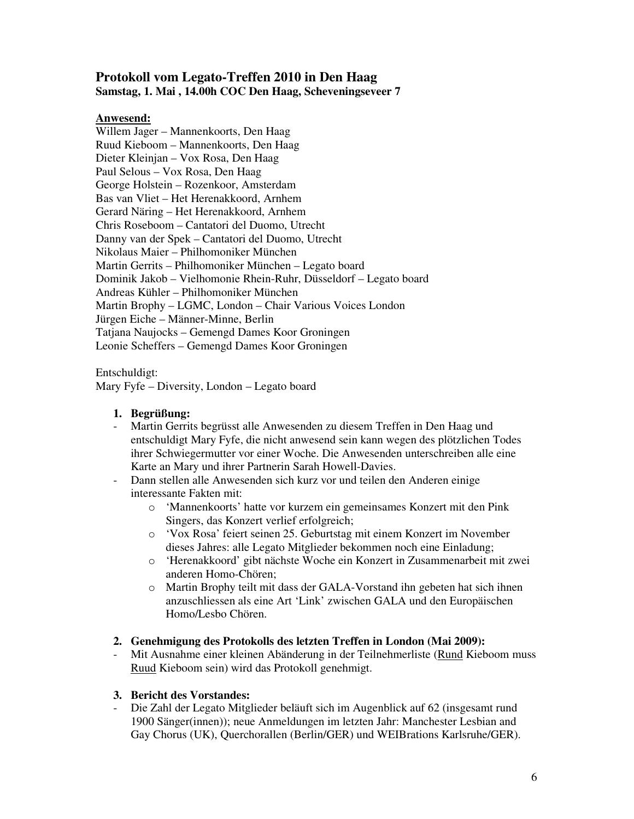# **Protokoll vom Legato-Treffen 2010 in Den Haag Samstag, 1. Mai , 14.00h COC Den Haag, Scheveningseveer 7**

## **Anwesend:**

Willem Jager – Mannenkoorts, Den Haag Ruud Kieboom – Mannenkoorts, Den Haag Dieter Kleinjan – Vox Rosa, Den Haag Paul Selous – Vox Rosa, Den Haag George Holstein – Rozenkoor, Amsterdam Bas van Vliet – Het Herenakkoord, Arnhem Gerard Näring – Het Herenakkoord, Arnhem Chris Roseboom – Cantatori del Duomo, Utrecht Danny van der Spek – Cantatori del Duomo, Utrecht Nikolaus Maier – Philhomoniker München Martin Gerrits – Philhomoniker München – Legato board Dominik Jakob – Vielhomonie Rhein-Ruhr, Düsseldorf – Legato board Andreas Kühler – Philhomoniker München Martin Brophy – LGMC, London – Chair Various Voices London Jürgen Eiche – Männer-Minne, Berlin Tatjana Naujocks – Gemengd Dames Koor Groningen Leonie Scheffers – Gemengd Dames Koor Groningen

Entschuldigt: Mary Fyfe – Diversity, London – Legato board

## **1. Begrüßung:**

- Martin Gerrits begrüsst alle Anwesenden zu diesem Treffen in Den Haag und entschuldigt Mary Fyfe, die nicht anwesend sein kann wegen des plötzlichen Todes ihrer Schwiegermutter vor einer Woche. Die Anwesenden unterschreiben alle eine Karte an Mary und ihrer Partnerin Sarah Howell-Davies.
- Dann stellen alle Anwesenden sich kurz vor und teilen den Anderen einige interessante Fakten mit:
	- o 'Mannenkoorts' hatte vor kurzem ein gemeinsames Konzert mit den Pink Singers, das Konzert verlief erfolgreich;
	- o 'Vox Rosa' feiert seinen 25. Geburtstag mit einem Konzert im November dieses Jahres: alle Legato Mitglieder bekommen noch eine Einladung;
	- o 'Herenakkoord' gibt nächste Woche ein Konzert in Zusammenarbeit mit zwei anderen Homo-Chören;
	- o Martin Brophy teilt mit dass der GALA-Vorstand ihn gebeten hat sich ihnen anzuschliessen als eine Art 'Link' zwischen GALA und den Europäischen Homo/Lesbo Chören.
- **2. Genehmigung des Protokolls des letzten Treffen in London (Mai 2009):**
- Mit Ausnahme einer kleinen Abänderung in der Teilnehmerliste (Rund Kieboom muss Ruud Kieboom sein) wird das Protokoll genehmigt.

## **3. Bericht des Vorstandes:**

- Die Zahl der Legato Mitglieder beläuft sich im Augenblick auf 62 (insgesamt rund 1900 Sänger(innen)); neue Anmeldungen im letzten Jahr: Manchester Lesbian and Gay Chorus (UK), Querchorallen (Berlin/GER) und WEIBrations Karlsruhe/GER).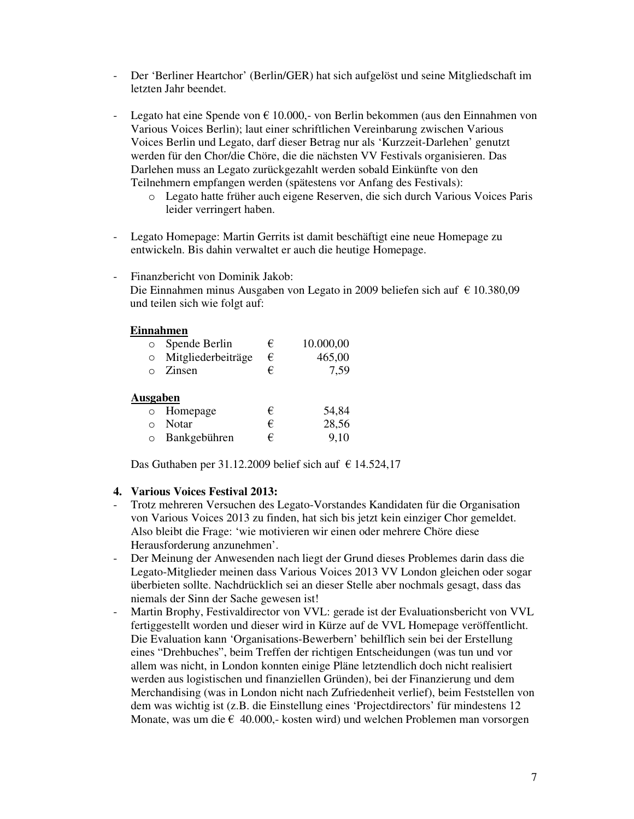- Der 'Berliner Heartchor' (Berlin/GER) hat sich aufgelöst und seine Mitgliedschaft im letzten Jahr beendet.
- Legato hat eine Spende von  $\epsilon$  10.000,- von Berlin bekommen (aus den Einnahmen von Various Voices Berlin); laut einer schriftlichen Vereinbarung zwischen Various Voices Berlin und Legato, darf dieser Betrag nur als 'Kurzzeit-Darlehen' genutzt werden für den Chor/die Chöre, die die nächsten VV Festivals organisieren. Das Darlehen muss an Legato zurückgezahlt werden sobald Einkünfte von den Teilnehmern empfangen werden (spätestens vor Anfang des Festivals):
	- o Legato hatte früher auch eigene Reserven, die sich durch Various Voices Paris leider verringert haben.
- Legato Homepage: Martin Gerrits ist damit beschäftigt eine neue Homepage zu entwickeln. Bis dahin verwaltet er auch die heutige Homepage.
- Finanzbericht von Dominik Jakob: Die Einnahmen minus Ausgaben von Legato in 2009 beliefen sich auf € 10.380,09 und teilen sich wie folgt auf:

### **Einnahmen**

|          | Spende Berlin      | € | 10.000,00 |  |  |
|----------|--------------------|---|-----------|--|--|
| $\circ$  | Mitgliederbeiträge | € | 465,00    |  |  |
|          | Zinsen             | € | 7,59      |  |  |
|          |                    |   |           |  |  |
| Ausgaben |                    |   |           |  |  |
|          | Homepage           | € | 54,84     |  |  |
|          | Notar              | € | 28,56     |  |  |
|          | Bankgebühren       | € | 9,10      |  |  |

Das Guthaben per 31.12.2009 belief sich auf  $\epsilon$  14.524,17

### **4. Various Voices Festival 2013:**

- Trotz mehreren Versuchen des Legato-Vorstandes Kandidaten für die Organisation von Various Voices 2013 zu finden, hat sich bis jetzt kein einziger Chor gemeldet. Also bleibt die Frage: 'wie motivieren wir einen oder mehrere Chöre diese Herausforderung anzunehmen'.
- Der Meinung der Anwesenden nach liegt der Grund dieses Problemes darin dass die Legato-Mitglieder meinen dass Various Voices 2013 VV London gleichen oder sogar überbieten sollte. Nachdrücklich sei an dieser Stelle aber nochmals gesagt, dass das niemals der Sinn der Sache gewesen ist!
- Martin Brophy, Festivaldirector von VVL: gerade ist der Evaluationsbericht von VVL fertiggestellt worden und dieser wird in Kürze auf de VVL Homepage veröffentlicht. Die Evaluation kann 'Organisations-Bewerbern' behilflich sein bei der Erstellung eines "Drehbuches", beim Treffen der richtigen Entscheidungen (was tun und vor allem was nicht, in London konnten einige Pläne letztendlich doch nicht realisiert werden aus logistischen und finanziellen Gründen), bei der Finanzierung und dem Merchandising (was in London nicht nach Zufriedenheit verlief), beim Feststellen von dem was wichtig ist (z.B. die Einstellung eines 'Projectdirectors' für mindestens 12 Monate, was um die  $\epsilon$  40.000,- kosten wird) und welchen Problemen man vorsorgen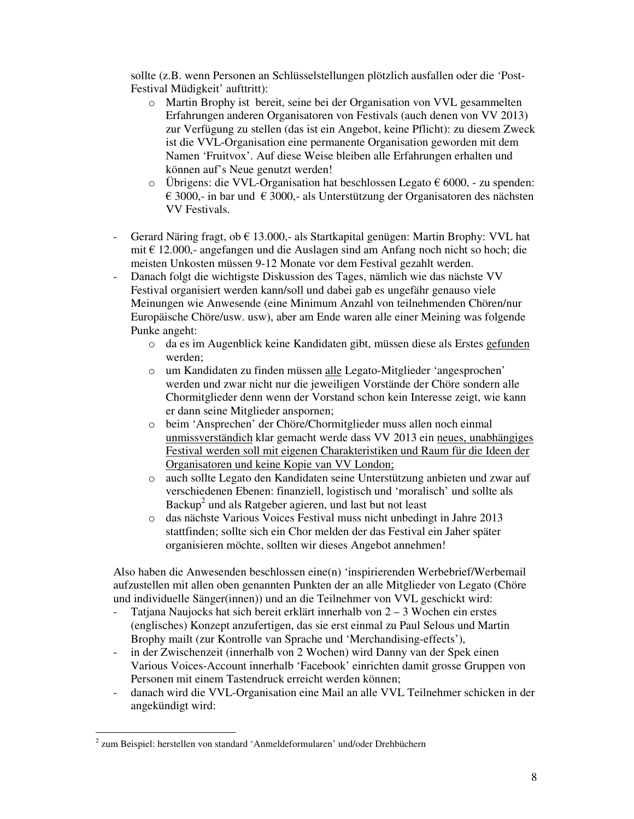sollte (z.B. wenn Personen an Schlüsselstellungen plötzlich ausfallen oder die 'Post-Festival Müdigkeit' aufttritt):

- o Martin Brophy ist bereit, seine bei der Organisation von VVL gesammelten Erfahrungen anderen Organisatoren von Festivals (auch denen von VV 2013) zur Verfügung zu stellen (das ist ein Angebot, keine Pflicht): zu diesem Zweck ist die VVL-Organisation eine permanente Organisation geworden mit dem Namen 'Fruitvox'. Auf diese Weise bleiben alle Erfahrungen erhalten und können auf's Neue genutzt werden!
- o Übrigens: die VVL-Organisation hat beschlossen Legato € 6000, zu spenden: € 3000,- in bar und € 3000,- als Unterstützung der Organisatoren des nächsten VV Festivals.
- Gerard Näring fragt, ob  $\epsilon$  13.000,- als Startkapital genügen: Martin Brophy: VVL hat mit € 12.000,- angefangen und die Auslagen sind am Anfang noch nicht so hoch; die meisten Unkosten müssen 9-12 Monate vor dem Festival gezahlt werden.
- Danach folgt die wichtigste Diskussion des Tages, nämlich wie das nächste VV Festival organisiert werden kann/soll und dabei gab es ungefähr genauso viele Meinungen wie Anwesende (eine Minimum Anzahl von teilnehmenden Chören/nur Europäische Chöre/usw. usw), aber am Ende waren alle einer Meining was folgende Punke angeht:
	- o da es im Augenblick keine Kandidaten gibt, müssen diese als Erstes gefunden werden;
	- o um Kandidaten zu finden müssen alle Legato-Mitglieder 'angesprochen' werden und zwar nicht nur die jeweiligen Vorstände der Chöre sondern alle Chormitglieder denn wenn der Vorstand schon kein Interesse zeigt, wie kann er dann seine Mitglieder anspornen;
	- o beim 'Ansprechen' der Chöre/Chormitglieder muss allen noch einmal unmissverständich klar gemacht werde dass VV 2013 ein neues, unabhängiges Festival werden soll mit eigenen Charakteristiken und Raum für die Ideen der Organisatoren und keine Kopie van VV London;
	- o auch sollte Legato den Kandidaten seine Unterstützung anbieten und zwar auf verschiedenen Ebenen: finanziell, logistisch und 'moralisch' und sollte als Backup<sup>2</sup> und als Ratgeber agieren, und last but not least
	- o das nächste Various Voices Festival muss nicht unbedingt in Jahre 2013 stattfinden; sollte sich ein Chor melden der das Festival ein Jaher später organisieren möchte, sollten wir dieses Angebot annehmen!

Also haben die Anwesenden beschlossen eine(n) 'inspirierenden Werbebrief/Werbemail aufzustellen mit allen oben genannten Punkten der an alle Mitglieder von Legato (Chöre und individuelle Sänger(innen)) und an die Teilnehmer von VVL geschickt wird:

- Tatjana Naujocks hat sich bereit erklärt innerhalb von  $2 3$  Wochen ein erstes (englisches) Konzept anzufertigen, das sie erst einmal zu Paul Selous und Martin Brophy mailt (zur Kontrolle van Sprache und 'Merchandising-effects'),
- in der Zwischenzeit (innerhalb von 2 Wochen) wird Danny van der Spek einen Various Voices-Account innerhalb 'Facebook' einrichten damit grosse Gruppen von Personen mit einem Tastendruck erreicht werden können;
- danach wird die VVL-Organisation eine Mail an alle VVL Teilnehmer schicken in der angekündigt wird:

<sup>-</sup><sup>2</sup> zum Beispiel: herstellen von standard 'Anmeldeformularen' und/oder Drehbüchern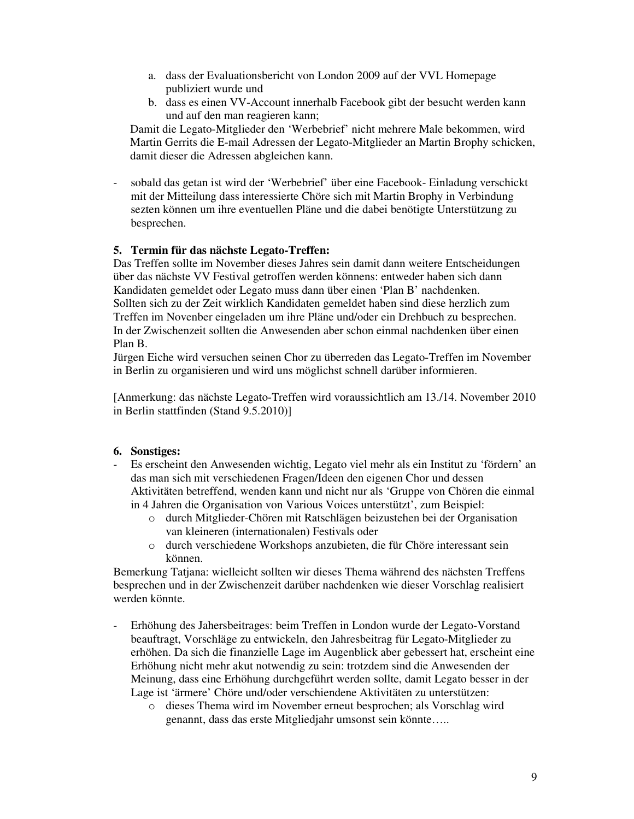- a. dass der Evaluationsbericht von London 2009 auf der VVL Homepage publiziert wurde und
- b. dass es einen VV-Account innerhalb Facebook gibt der besucht werden kann und auf den man reagieren kann;

Damit die Legato-Mitglieder den 'Werbebrief' nicht mehrere Male bekommen, wird Martin Gerrits die E-mail Adressen der Legato-Mitglieder an Martin Brophy schicken, damit dieser die Adressen abgleichen kann.

- sobald das getan ist wird der 'Werbebrief' über eine Facebook- Einladung verschickt mit der Mitteilung dass interessierte Chöre sich mit Martin Brophy in Verbindung sezten können um ihre eventuellen Pläne und die dabei benötigte Unterstützung zu besprechen.

### **5. Termin für das nächste Legato-Treffen:**

Das Treffen sollte im November dieses Jahres sein damit dann weitere Entscheidungen über das nächste VV Festival getroffen werden könnens: entweder haben sich dann Kandidaten gemeldet oder Legato muss dann über einen 'Plan B' nachdenken. Sollten sich zu der Zeit wirklich Kandidaten gemeldet haben sind diese herzlich zum Treffen im Novenber eingeladen um ihre Pläne und/oder ein Drehbuch zu besprechen. In der Zwischenzeit sollten die Anwesenden aber schon einmal nachdenken über einen Plan B.

Jürgen Eiche wird versuchen seinen Chor zu überreden das Legato-Treffen im November in Berlin zu organisieren und wird uns möglichst schnell darüber informieren.

[Anmerkung: das nächste Legato-Treffen wird voraussichtlich am 13./14. November 2010 in Berlin stattfinden (Stand 9.5.2010)]

### **6. Sonstiges:**

- Es erscheint den Anwesenden wichtig, Legato viel mehr als ein Institut zu 'fördern' an das man sich mit verschiedenen Fragen/Ideen den eigenen Chor und dessen Aktivitäten betreffend, wenden kann und nicht nur als 'Gruppe von Chören die einmal in 4 Jahren die Organisation von Various Voices unterstützt', zum Beispiel:
	- o durch Mitglieder-Chören mit Ratschlägen beizustehen bei der Organisation van kleineren (internationalen) Festivals oder
	- o durch verschiedene Workshops anzubieten, die für Chöre interessant sein können.

Bemerkung Tatjana: wielleicht sollten wir dieses Thema während des nächsten Treffens besprechen und in der Zwischenzeit darüber nachdenken wie dieser Vorschlag realisiert werden könnte.

- Erhöhung des Jahersbeitrages: beim Treffen in London wurde der Legato-Vorstand beauftragt, Vorschläge zu entwickeln, den Jahresbeitrag für Legato-Mitglieder zu erhöhen. Da sich die finanzielle Lage im Augenblick aber gebessert hat, erscheint eine Erhöhung nicht mehr akut notwendig zu sein: trotzdem sind die Anwesenden der Meinung, dass eine Erhöhung durchgeführt werden sollte, damit Legato besser in der Lage ist 'ärmere' Chöre und/oder verschiendene Aktivitäten zu unterstützen:
	- o dieses Thema wird im November erneut besprochen; als Vorschlag wird genannt, dass das erste Mitgliedjahr umsonst sein könnte…..